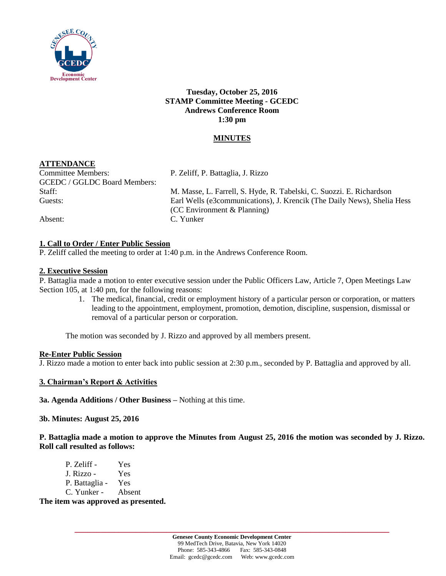

**Tuesday, October 25, 2016 STAMP Committee Meeting - GCEDC Andrews Conference Room 1:30 pm**

# **MINUTES**

# **ATTENDANCE**

Committee Members: P. Zeliff, P. Battaglia, J. Rizzo GCEDC / GGLDC Board Members:

Staff: M. Masse, L. Farrell, S. Hyde, R. Tabelski, C. Suozzi. E. Richardson Guests: Earl Wells (e3communications), J. Krencik (The Daily News), Shelia Hess (CC Environment & Planning) Absent: C. Yunker

# **1. Call to Order / Enter Public Session**

P. Zeliff called the meeting to order at 1:40 p.m. in the Andrews Conference Room.

### **2. Executive Session**

P. Battaglia made a motion to enter executive session under the Public Officers Law, Article 7, Open Meetings Law Section 105, at 1:40 pm, for the following reasons:

> 1. The medical, financial, credit or employment history of a particular person or corporation, or matters leading to the appointment, employment, promotion, demotion, discipline, suspension, dismissal or removal of a particular person or corporation.

The motion was seconded by J. Rizzo and approved by all members present.

#### **Re-Enter Public Session**

J. Rizzo made a motion to enter back into public session at 2:30 p.m., seconded by P. Battaglia and approved by all.

### **3. Chairman's Report & Activities**

**3a. Agenda Additions / Other Business –** Nothing at this time.

#### **3b. Minutes: August 25, 2016**

**P. Battaglia made a motion to approve the Minutes from August 25, 2016 the motion was seconded by J. Rizzo. Roll call resulted as follows:**

| P. Zeliff -    | Yes    |
|----------------|--------|
| J. Rizzo -     | Yes    |
| P. Battaglia - | Yes    |
| C. Yunker -    | Absent |

**The item was approved as presented.**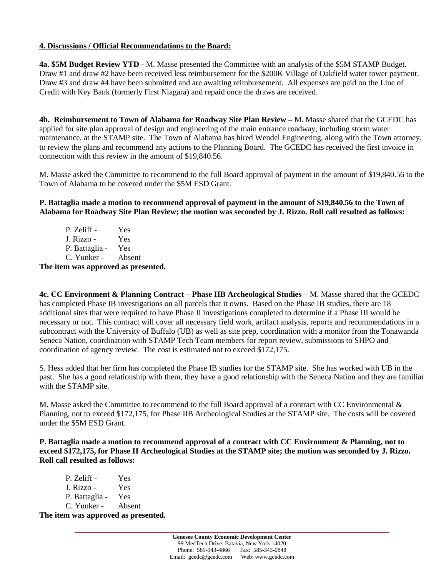## **4. Discussions / Official Recommendations to the Board:**

**4a. \$5M Budget Review YTD -** M. Masse presented the Committee with an analysis of the \$5M STAMP Budget. Draw #1 and draw #2 have been received less reimbursement for the \$200K Village of Oakfield water tower payment. Draw #3 and draw #4 have been submitted and are awaiting reimbursement. All expenses are paid on the Line of Credit with Key Bank (formerly First Niagara) and repaid once the draws are received.

**4b. Reimbursement to Town of Alabama for Roadway Site Plan Review –** M. Masse shared that the GCEDC has applied for site plan approval of design and engineering of the main entrance roadway, including storm water maintenance, at the STAMP site. The Town of Alabama has hired Wendel Engineering, along with the Town attorney, to review the plans and recommend any actions to the Planning Board. The GCEDC has received the first invoice in connection with this review in the amount of \$19,840.56.

M. Masse asked the Committee to recommend to the full Board approval of payment in the amount of \$19,840.56 to the Town of Alabama to be covered under the \$5M ESD Grant.

**P. Battaglia made a motion to recommend approval of payment in the amount of \$19,840.56 to the Town of Alabama for Roadway Site Plan Review; the motion was seconded by J. Rizzo. Roll call resulted as follows:**

P. Zeliff - Yes J. Rizzo - Yes P. Battaglia - Yes C. Yunker - Absent

**The item was approved as presented.**

**4c. CC Environment & Planning Contract – Phase IIB Archeological Studies** – M. Masse shared that the GCEDC has completed Phase IB investigations on all parcels that it owns. Based on the Phase IB studies, there are 18 additional sites that were required to have Phase II investigations completed to determine if a Phase III would be necessary or not. This contract will cover all necessary field work, artifact analysis, reports and recommendations in a subcontract with the University of Buffalo (UB) as well as site prep, coordination with a monitor from the Tonawanda Seneca Nation, coordination with STAMP Tech Team members for report review, submissions to SHPO and coordination of agency review. The cost is estimated not to exceed \$172,175.

S. Hess added that her firm has completed the Phase IB studies for the STAMP site. She has worked with UB in the past. She has a good relationship with them, they have a good relationship with the Seneca Nation and they are familiar with the STAMP site.

M. Masse asked the Committee to recommend to the full Board approval of a contract with CC Environmental  $\&$ Planning, not to exceed \$172,175, for Phase IIB Archeological Studies at the STAMP site. The costs will be covered under the \$5M ESD Grant.

**P. Battaglia made a motion to recommend approval of a contract with CC Environment & Planning, not to exceed \$172,175, for Phase II Archeological Studies at the STAMP site; the motion was seconded by J. Rizzo. Roll call resulted as follows:**

| The item was approved as presented. |     |  |
|-------------------------------------|-----|--|
| C. Yunker - Absent                  |     |  |
| P. Battaglia -                      | Yes |  |
| J. Rizzo -                          | Yes |  |
| P. Zeliff -                         | Yes |  |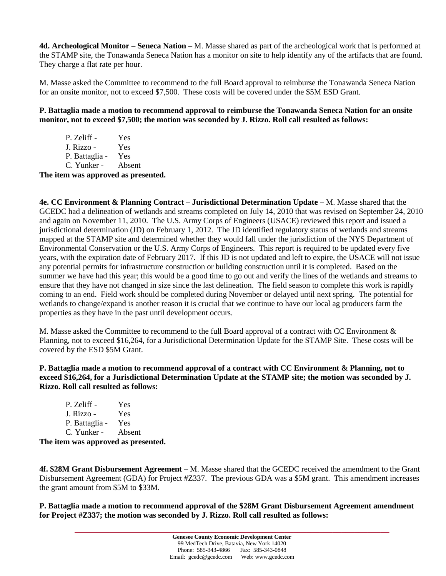**4d. Archeological Monitor – Seneca Nation –** M. Masse shared as part of the archeological work that is performed at the STAMP site, the Tonawanda Seneca Nation has a monitor on site to help identify any of the artifacts that are found. They charge a flat rate per hour.

M. Masse asked the Committee to recommend to the full Board approval to reimburse the Tonawanda Seneca Nation for an onsite monitor, not to exceed \$7,500. These costs will be covered under the \$5M ESD Grant.

**P. Battaglia made a motion to recommend approval to reimburse the Tonawanda Seneca Nation for an onsite monitor, not to exceed \$7,500; the motion was seconded by J. Rizzo. Roll call resulted as follows:**

P. Zeliff - Yes J. Rizzo - Yes P. Battaglia - Yes C. Yunker - Absent

**The item was approved as presented.**

**4e. CC Environment & Planning Contract – Jurisdictional Determination Update –** M. Masse shared that the GCEDC had a delineation of wetlands and streams completed on July 14, 2010 that was revised on September 24, 2010 and again on November 11, 2010. The U.S. Army Corps of Engineers (USACE) reviewed this report and issued a jurisdictional determination (JD) on February 1, 2012. The JD identified regulatory status of wetlands and streams mapped at the STAMP site and determined whether they would fall under the jurisdiction of the NYS Department of Environmental Conservation or the U.S. Army Corps of Engineers. This report is required to be updated every five years, with the expiration date of February 2017. If this JD is not updated and left to expire, the USACE will not issue any potential permits for infrastructure construction or building construction until it is completed. Based on the summer we have had this year; this would be a good time to go out and verify the lines of the wetlands and streams to ensure that they have not changed in size since the last delineation. The field season to complete this work is rapidly coming to an end. Field work should be completed during November or delayed until next spring. The potential for wetlands to change/expand is another reason it is crucial that we continue to have our local ag producers farm the properties as they have in the past until development occurs.

M. Masse asked the Committee to recommend to the full Board approval of a contract with CC Environment & Planning, not to exceed \$16,264, for a Jurisdictional Determination Update for the STAMP Site. These costs will be covered by the ESD \$5M Grant.

**P. Battaglia made a motion to recommend approval of a contract with CC Environment & Planning, not to exceed \$16,264, for a Jurisdictional Determination Update at the STAMP site; the motion was seconded by J. Rizzo. Roll call resulted as follows:**

| P. Zeliff -    | Yes    |
|----------------|--------|
| J. Rizzo -     | Yes    |
| P. Battaglia - | Yes    |
| C. Yunker -    | Absent |

**The item was approved as presented.**

**4f. \$28M Grant Disbursement Agreement –** M. Masse shared that the GCEDC received the amendment to the Grant Disbursement Agreement (GDA) for Project #Z337. The previous GDA was a \$5M grant. This amendment increases the grant amount from \$5M to \$33M.

**P. Battaglia made a motion to recommend approval of the \$28M Grant Disbursement Agreement amendment for Project #Z337; the motion was seconded by J. Rizzo. Roll call resulted as follows:**